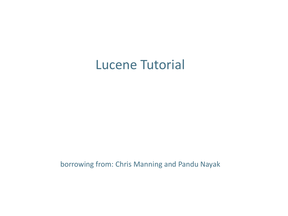#### Lucene Tutorial

borrowing from: Chris Manning and Pandu Nayak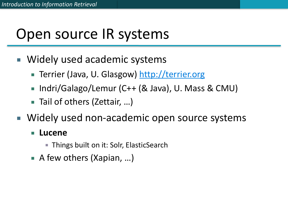## Open source IR systems

- Widely used academic systems
	- Terrier (Java, U. Glasgow) <http://terrier.org>
	- Indri/Galago/Lemur (C++ (& Java), U. Mass & CMU)
	- Tail of others (Zettair, ...)
- Widely used non-academic open source systems

#### **Lucene**

- Things built on it: Solr, ElasticSearch
- A few others (Xapian, ...)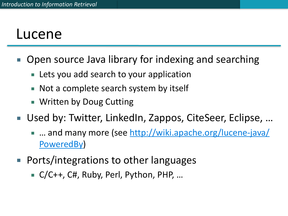#### Lucene

- Open source Java library for indexing and searching
	- Lets you add search to your application
	- Not a complete search system by itself
	- **E** Written by Doug Cutting
- Used by: Twitter, LinkedIn, Zappos, CiteSeer, Eclipse, ...
	- ... and many more (see [http://wiki.apache.org/lucene-java/](http://wiki.apache.org/lucene-java/PoweredBy) [PoweredBy\)](http://wiki.apache.org/lucene-java/PoweredBy)
- $\blacksquare$  Ports/integrations to other languages
	- C/C++, C#, Ruby, Perl, Python, PHP, ...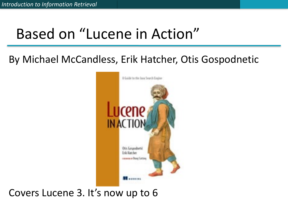# Based on "Lucene in Action"

#### By Michael McCandless, Erik Hatcher, Otis Gospodnetic



Covers Lucene 3. It's now up to 6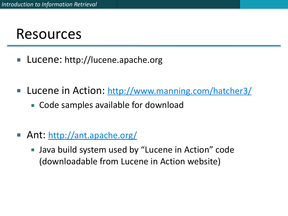#### Resources

- Lucene: http://lucene.apache.org
- **Lucene in Action: http://www.manning.com/hatcher3/** 
	- Code samples available for download
- Ant: http://ant.apache.org/
	- Java build system used by "Lucene in Action" code (downloadable from Lucene in Action website)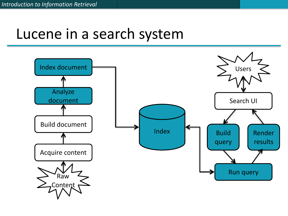### Lucene in a search system

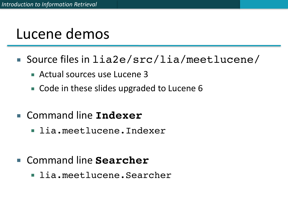## Lucene demos

- Source files in lia2e/src/lia/meetlucene/
	- $\blacksquare$  Actual sources use Lucene 3
	- Code in these slides upgraded to Lucene 6
- Command line **Indexer**
	- **· lia.meetlucene.Indexer**
- Command line **Searcher** 
	- **· lia.meetlucene.Searcher**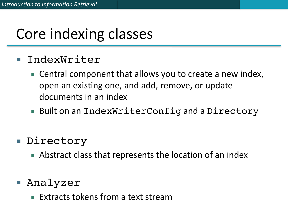# Core indexing classes

- IndexWriter
	- Central component that allows you to create a new index, open an existing one, and add, remove, or update documents in an index
	- Built on an IndexWriterConfig and a Directory
- Directory
	- Abstract class that represents the location of an index
- Analyzer
	- **Extracts tokens from a text stream**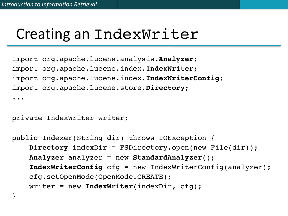### Creating an IndexWriter

Import org.apache.lucene.analysis.**Analyzer**; import org.apache.lucene.index.**IndexWriter**; import org.apache.lucene.index.**IndexWriterConfig**; import org.apache.lucene.store.**Directory**; ...

private IndexWriter writer;

}

public Indexer(String dir) throws IOException { **Directory** indexDir = FSDirectory.open(new File(dir)); **Analyzer** analyzer = new **StandardAnalyzer**(); **IndexWriterConfig** cfg = new IndexWriterConfig(analyzer); cfg.setOpenMode(OpenMode.CREATE); writer = new **IndexWriter**(indexDir, cfg);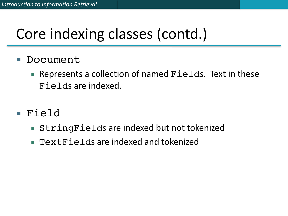# Core indexing classes (contd.)

- Document
	- Represents a collection of named Fields. Text in these Fields are indexed.
- Field
	- StringFields are indexed but not tokenized
	- TextFields are indexed and tokenized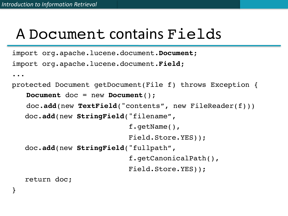}

## A Document contains Fields

```
import org.apache.lucene.document.Document;
import org.apache.lucene.document.Field;
...
protected Document getDocument(File f) throws Exception {
   Document doc = new Document();
   doc.add(new TextField("contents", new FileReader(f))) 
    doc.add(new StringField("filename",
                            f.getName(),
                             Field.Store.YES)); 
    doc.add(new StringField("fullpath",
                             f.getCanonicalPath(),
                             Field.Store.YES));
    return doc;
```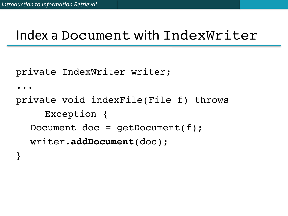#### Index a Document with IndexWriter

private IndexWriter writer;

...

private void indexFile(File f) throws Exception { Document doc =  $getDocument(f)$ ; writer.**addDocument**(doc); }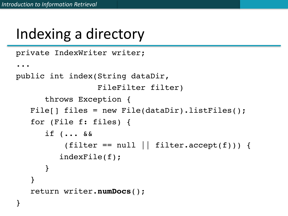# Indexing a directory

```
private IndexWriter writer;
...
public int index(String dataDir,
                  FileFilter filter)
      throws Exception {
   File[] files = new File(dataDir).listFiles();
   for (File f: files) {
      if (... &&
          (fitter == null || filter.accept(f))) {
         indexFile(f);
      }
   }
   return writer.numDocs();
}
```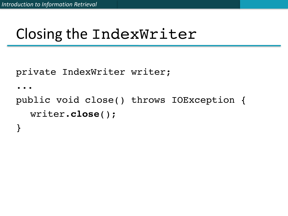## Closing the IndexWriter

```
private IndexWriter writer;
```

```
...
```
public void close() throws IOException { writer.**close**(); }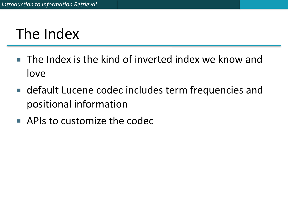# The Index

- $\blacksquare$  The Index is the kind of inverted index we know and love
- default Lucene codec includes term frequencies and positional information
- $\blacksquare$  APIs to customize the codec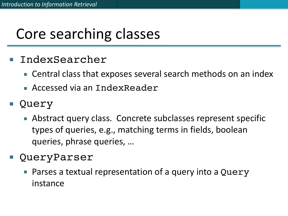# Core searching classes

- IndexSearcher
	- Central class that exposes several search methods on an index
	- **E** Accessed via an IndexReader
- Query
	- Abstract query class. Concrete subclasses represent specific types of queries, e.g., matching terms in fields, boolean queries, phrase queries, ...
- QueryParser
	- Parses a textual representation of a query into a Query instance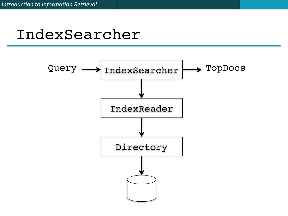#### IndexSearcher

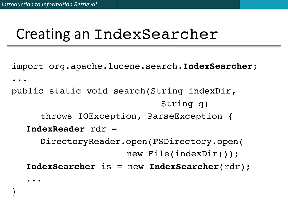}

## Creating an IndexSearcher

import org.apache.lucene.search.**IndexSearcher**; ... public static void search(String indexDir, String q) throws IOException, ParseException { **IndexReader** rdr = DirectoryReader.open(FSDirectory.open( new File(indexDir))); **IndexSearcher** is = new **IndexSearcher**(rdr); ...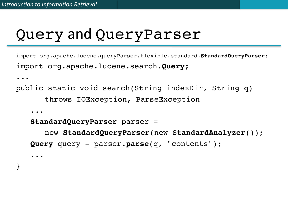}

## Query and QueryParser

import org.apache.lucene.queryParser.flexible.standard.**StandardQueryParser**; import org.apache.lucene.search.**Query**;

```
...
public static void search(String indexDir, String q)
      throws IOException, ParseException 
   ...
   StandardQueryParser parser =
      new StandardQueryParser(new StandardAnalyzer()); 
   Query query = parser.parse(q, "contents");
   ...
```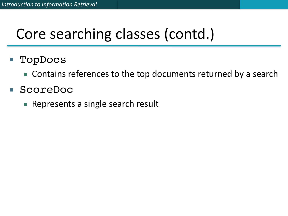# Core searching classes (contd.)

- TopDocs
	- Contains references to the top documents returned by a search
- ScoreDoc
	- Represents a single search result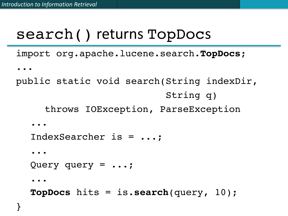#### search() returns TopDocs

import org.apache.lucene.search.**TopDocs**;

```
...
```

```
public static void search(String indexDir,
                            String q)
     throws IOException, ParseException 
  ...
  IndexSearcher is = ...;
  ...
  Query query = ...;
  ...
  TopDocs hits = is.search(query, 10);
```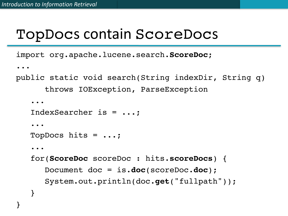}

#### TopDocs contain ScoreDocs

import org.apache.lucene.search.**ScoreDoc**;

```
...
public static void search(String indexDir, String q)
      throws IOException, ParseException 
   ...
   IndexSearcher is = ...;
   ...
   TopDocs hits = ...;
   ...
   for(ScoreDoc scoreDoc : hits.scoreDocs) {
      Document doc = is.doc(scoreDoc.doc);
      System.out.println(doc.get("fullpath"));
   }
```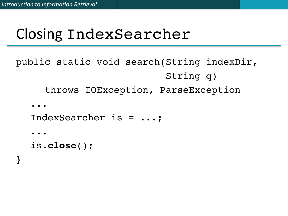## Closing IndexSearcher

```
public static void search(String indexDir,
                            String q)
     throws IOException, ParseException 
  ...
  IndexSearcher is = ...;
  ...
```

```
is.close();
```
}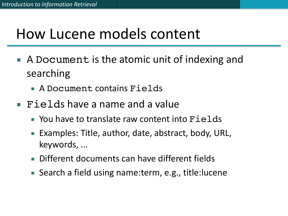## How Lucene models content

- A Document is the atomic unit of indexing and searching
	- A Document contains Fields
- $\blacksquare$  Fields have a name and a value
	- $\blacksquare$  You have to translate raw content into  $\mathtt{Fields}$
	- Examples: Title, author, date, abstract, body, URL, keywords, ...
	- Different documents can have different fields
	- Search a field using name:term, e.g., title:lucene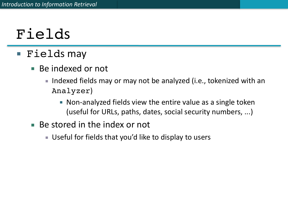# Fields

#### ■ Fields may

- Be indexed or not
	- Indexed fields may or may not be analyzed (i.e., tokenized with an Analyzer)
		- Non-analyzed fields view the entire value as a single token (useful for URLs, paths, dates, social security numbers, ...)
- $\blacksquare$  Be stored in the index or not
	- Useful for fields that you'd like to display to users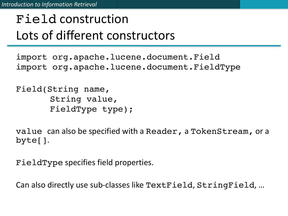#### Field construction Lots of different constructors

import org.apache.lucene.document.Field import org.apache.lucene.document.FieldType

Field(String name, String value, FieldType type);

value can also be specified with a Reader, a TokenStream, or a byte[]. 

FieldType specifies field properties.

Can also directly use sub-classes like TextField, StringField, ...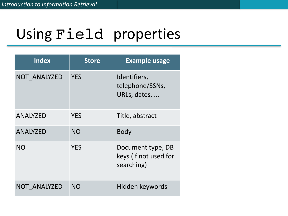# Using Field properties

| <b>Index</b>    | <b>Store</b> | <b>Example usage</b>                                     |
|-----------------|--------------|----------------------------------------------------------|
| NOT ANALYZED    | <b>YES</b>   | Identifiers,<br>telephone/SSNs,<br>URLs, dates,          |
| <b>ANALYZED</b> | <b>YES</b>   | Title, abstract                                          |
| <b>ANALYZED</b> | <b>NO</b>    | <b>Body</b>                                              |
| <b>NO</b>       | <b>YES</b>   | Document type, DB<br>keys (if not used for<br>searching) |
| NOT ANALYZED    | <b>NO</b>    | Hidden keywords                                          |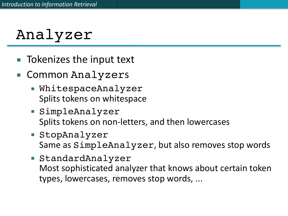# Analyzer

- Tokenizes the input text
- Common Analyzers
	- WhitespaceAnalyzer Splits tokens on whitespace
	- SimpleAnalyzer Splits tokens on non-letters, and then lowercases
	- StopAnalyzer Same as SimpleAnalyzer, but also removes stop words
	- StandardAnalyzer Most sophisticated analyzer that knows about certain token types, lowercases, removes stop words, ...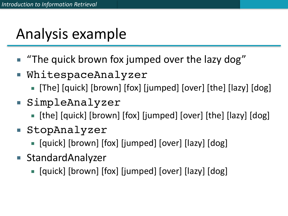# Analysis example

- "The quick brown fox jumped over the lazy dog"
- WhitespaceAnalyzer
	- [The] [quick] [brown] [fox] [jumped] [over] [the] [lazy] [dog]
- SimpleAnalyzer
	- [the] [quick] [brown] [fox] [jumped] [over] [the] [lazy] [dog]
- StopAnalyzer
	- [quick] [brown] [fox] [jumped] [over] [lazy] [dog]
- StandardAnalyzer
	- **•** [quick] [brown] [fox] [jumped] [over] [lazy] [dog]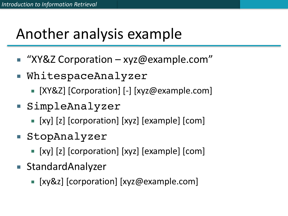# Another analysis example

- $\blacksquare$  "XY&Z Corporation xyz@example.com"
- WhitespaceAnalyzer
	- [XY&Z] [Corporation] [-] [xyz@example.com]
- SimpleAnalyzer
	- [xy] [z] [corporation] [xyz] [example] [com]
- StopAnalyzer
	- [xy] [z] [corporation] [xyz] [example] [com]
- StandardAnalyzer
	- [xy&z] [corporation] [xyz@example.com]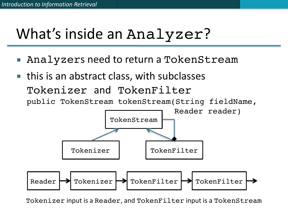# What's inside an Analyzer?

- Analyzers need to return a TokenStream
- $\blacksquare$  this is an abstract class, with subclasses Tokenizer and TokenFilter public TokenStream tokenStream(String fieldName,



Tokenizer input is a Reader, and TokenFilter input is a TokenStream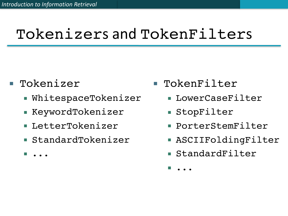# Tokenizers and TokenFilters

- Tokenizer
	- **E** WhitespaceTokenizer
	- KeywordTokenizer
	- LetterTokenizer
	- StandardTokenizer

▪ ...

- TokenFilter
	- **ELOWErCaseFilter**
	- StopFilter
	- PorterStemFilter
	- ASCIIFoldingFilter
	- StandardFilter

▪ ...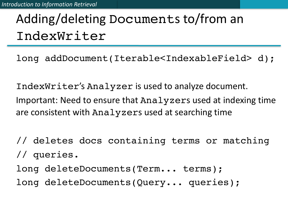## Adding/deleting Documents to/from an IndexWriter

long addDocument(Iterable<IndexableField> d);

IndexWriter's Analyzer is used to analyze document. Important: Need to ensure that Analyzers used at indexing time are consistent with Analyzers used at searching time

// deletes docs containing terms or matching // queries.

long deleteDocuments(Term... terms);

long deleteDocuments(Query... queries);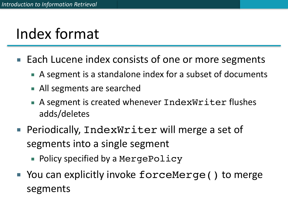# Index format

- Each Lucene index consists of one or more segments
	- A segment is a standalone index for a subset of documents
	- All segments are searched
	- A segment is created whenever IndexWriter flushes adds/deletes
- Periodically, IndexWriter will merge a set of segments into a single segment
	- Policy specified by a MergePolicy
- You can explicitly invoke forceMerge () to merge segments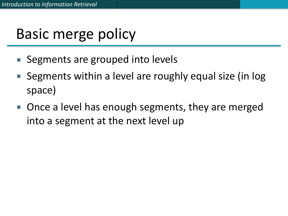# Basic merge policy

- Segments are grouped into levels
- Segments within a level are roughly equal size (in log space)
- Once a level has enough segments, they are merged into a segment at the next level up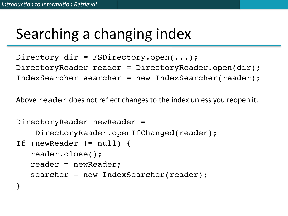# Searching a changing index

```
Directory dir = FSDirectory.open(...);
DirectoryReader reader = DirectoryReader.open(dir);
IndexSearcher searcher = new IndexSearcher(reader);
```
Above reader does not reflect changes to the index unless you reopen it.

```
DirectoryReader newReader = 
     DirectoryReader.openIfChanged(reader);
If (newReader != null) {
   reader.close();
   reader = newReader;
   searcher = new IndexSearcher(reader);
}
```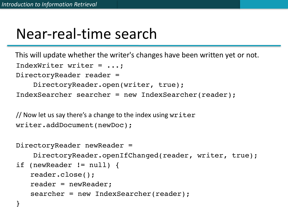## Near-real-time search

IndexWriter writer = ...; DirectoryReader reader = This will update whether the writer's changes have been written yet or not.

```
 DirectoryReader.open(writer, true);
IndexSearcher searcher = new IndexSearcher(reader);
```
// Now let us say there's a change to the index using  $w$ riter writer.addDocument(newDoc);

```
DirectoryReader newReader =
```
DirectoryReader.openIfChanged(reader, writer, true);

```
if (newReader != null) {
```
reader.close();

reader = newReader;

searcher = new IndexSearcher(reader);

}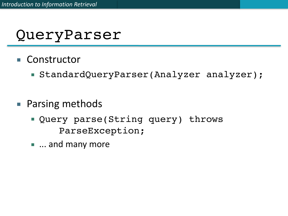#### QueryParser

- Constructor
	- StandardQueryParser(Analyzer analyzer);
- Parsing methods
	- Query parse(String query) throws ParseException;
	- $\blacksquare$  ... and many more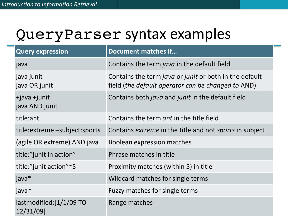#### QueryParser syntax examples

| <b>Query expression</b>              | Document matches if                                                                                          |
|--------------------------------------|--------------------------------------------------------------------------------------------------------------|
| java                                 | Contains the term java in the default field                                                                  |
| java junit<br>java OR junit          | Contains the term java or junit or both in the default<br>field (the default operator can be changed to AND) |
| $+$ java $+$ junit<br>java AND junit | Contains both <i>java</i> and <i>junit</i> in the default field                                              |
| title:ant                            | Contains the term <i>ant</i> in the title field                                                              |
| title: extreme - subject: sports     | Contains <i>extreme</i> in the title and not <i>sports</i> in subject                                        |
| (agile OR extreme) AND java          | Boolean expression matches                                                                                   |
| title:"junit in action"              | Phrase matches in title                                                                                      |
| title:"junit action"~5               | Proximity matches (within 5) in title                                                                        |
| java $*$                             | Wildcard matches for single terms                                                                            |
| java~                                | Fuzzy matches for single terms                                                                               |
| lastmodified:[1/1/09 TO<br>12/31/09] | Range matches                                                                                                |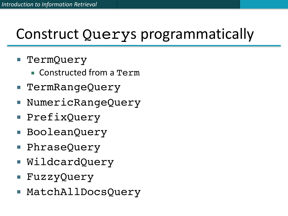# Construct Querys programmatically

- TermQuery
	- Constructed from a Term
- TermRangeQuery
- NumericRangeQuery
- PrefixQuery
- BooleanQuery
- PhraseQuery
- WildcardQuery
- FuzzyQuery
- MatchAllDocsQuery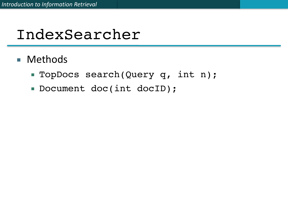## IndexSearcher

- Methods
	- TopDocs search(Query q, int n);
	- Document doc(int docID);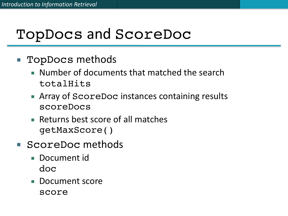## TopDocs and ScoreDoc

- TopDocs methods
	- Number of documents that matched the search totalHits
	- Array of ScoreDoc instances containing results scoreDocs
	- Returns best score of all matches getMaxScore()
- ScoreDoc methods
	- Document id doc
	- Document score score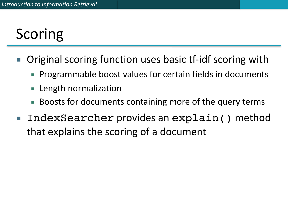# Scoring

- Original scoring function uses basic tf-idf scoring with
	- Programmable boost values for certain fields in documents
	- Length normalization
	- Boosts for documents containing more of the query terms
- IndexSearcher provides an explain() method that explains the scoring of a document